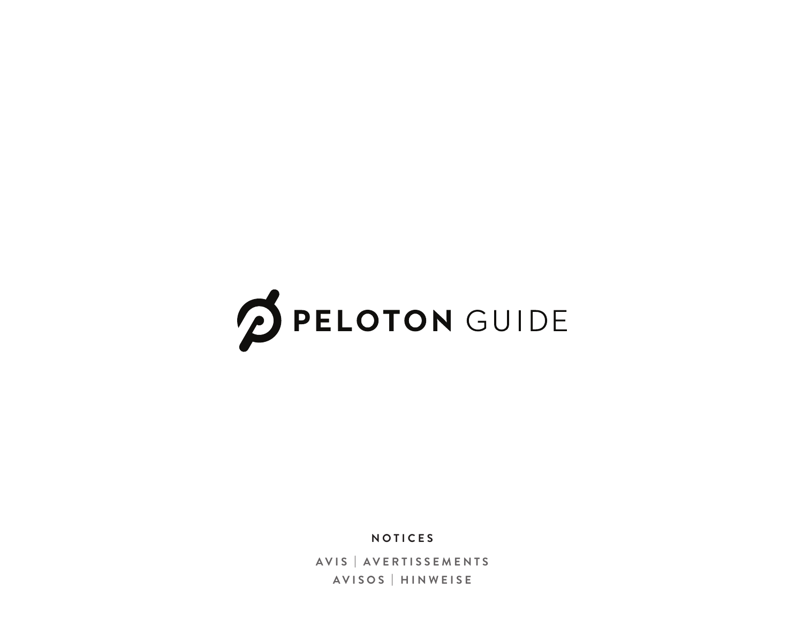

**NOTICES**

**AVIS | AVERTISSEMENTS AVISOS | HINWEISE**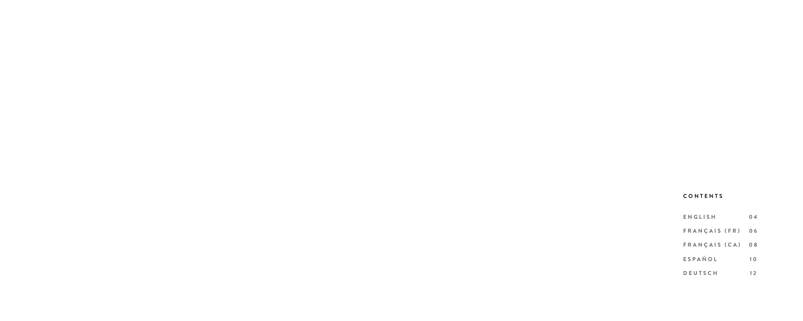# **CONTENTS**

| ENGLISH          | 04 |
|------------------|----|
| FRANÇAIS (FR)    | 06 |
| FRANÇAIS (CA) 08 |    |
| ESPAÑOL          | 10 |
| <b>DEUTSCH</b>   | 12 |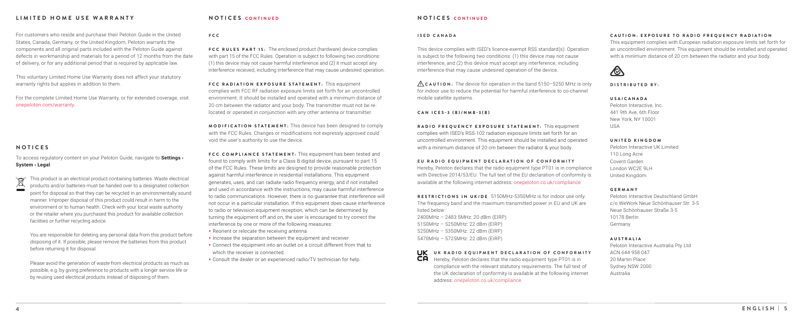This voluntary Limited Home Use Warranty does not affect your statutory warranty rights but applies in addition to them.

For customers who reside and purchase their Peloton Guide in the United States, Canada, Germany, or the United Kingdom, Peloton warrants the components and all original parts included with the Peloton Guide against defects in workmanship and materials for a period of 12 months from the date of delivery, or for any additional period that is required by applicable law.

For the complete Limited Home Use Warranty, or for extended coverage, visit onepeloton.com/warranty.

## **LIMITED HOME USE WARRANTY**

**FCC RULES PART 15:** The enclosed product (hardware) device complies with part 15 of the FCC Rules. Operation is subject to following two conditions: (1) this device may not cause harmful interference and (2) it must accept any interference received, including interference that may cause undesired operation.

**FCC RADIATION EXPOSURE STATEMENT:** This equipment complies with FCC RF radiation exposure limits set forth for an uncontrolled environment. It should be installed and operated with a minimum distance of 20 cm between the radiator and your body. The transmitter must not be relocated or operated in conjunction with any other antenna or transmitter.

**MODIFICATION STATEMENT:** This device has been designed to comply with the FCC Rules. Changes or modifications not expressly approved could void the user's authority to use the device.

**FCC COMPLIANCE STATEMENT:** This equipment has been tested and found to comply with limits for a Class B digital device, pursuant to part 15 of the FCC Rules. These limits are designed to provide reasonable protection against harmful interference in residential installations. This equipment generates, uses, and can radiate radio frequency energy, and if not installed and used in accordance with the instructions, may cause harmful interference to radio communications. However, there is no guarantee that interference will not occur in a particular installation. If this equipment does cause interference to radio or television equipment reception, which can be determined by turning the equipment off and on, the user is encouraged to try correct the interference by one or more of the following measures:

- Reorient or relocate the receiving antenna
- Increase the separation between the equipment and receiver
- Connect the equipment into an outlet on a circuit different from that to which the receiver is connected.
- Consult the dealer or an experienced radio/TV technician for help.

This product is an electrical product containing batteries. Waste electrical  $\blacktriangleright$ products and/or batteries must be handed over to a designated collection point for disposal so that they can be recycled in an environmentally sound manner. Improper disposal of this product could result in harm to the environment or to human health. Check with your local waste authority or the retailer where you purchased this product for available collection facilities or further recycling advice.

You are responsible for deleting any personal data from this product before disposing of it. If possible, please remove the batteries from this product before returning it for disposal.

**UK** UK RADIO EQUIPMENT DECLARATION OF CONFORMITY  $\overline{\mathsf{CP}}$  Hereby, Peloton declares that the radio equipment type PT01 is in compliance with the relevant statutory requirements. The full text of the UK declaration of conformity is available at the following internet

Please avoid the generation of waste from electrical products as much as possible, e.g. by giving preference to products with a longer service life or by reusing used electrical products instead of disposing of them.

## **NOTICES CONTINUED**

### **FCC**

This device complies with ISED's licence-exempt RSS standard(s). Operation is subject to the following two conditions: (1) this device may not cause interference, and (2) this device must accept any interference, including interference that may cause undesired operation of the device.

**RADIO FREQUENCY EXPOSURE STATEMENT:** This equipment complies with ISED's RSS-102 radiation exposure limits set forth for an uncontrolled environment. This equipment should be installed and operated with a minimum distance of 20 cm between the radiator & your body.

Hereby, Peloton declares that the radio equipment type PT01 is in compliance with Directive 2014/53/EU. The full text of the EU declaration of conformity is available at the following internet address: onepeloton.co.uk/compliance. **EU RADIO EQUIPMENT DECLARATION OF CONFORMITY**

#### **ISED CANADA**

## **CAN ICES-3 (B)/NMB-3(B)**

Peloton Interactive, Inc. 441 9th Ave, 6th Floor New York, NY 10001

USA

Peloton Interactive UK Limited 110 Long Acre Covent Garden London WC2E 9LH United Kingdom

Peloton Interactive Deutschland GmbH c/o WeWork Neue Schönhauser Str. 3-5 Neue Schönhauser Straße 3-5

10178 Berlin Germany

Peloton Interactive Australia Pty Ltd Sydney NSW 2000

ACN 644 958 047 20 Martin Place Australia

#### **DISTRIBUTED BY:**

## **USA/CANADA**

## **UNITED KINGDOM**

**GERMANY**



## **AUSTRALIA**

## **NOTICES CONTINUED**

 **CAUTION:** The device for operation in the band 5150–5250 MHz is only for indoor use to reduce the potential for harmful interference to co-channel mobile satellite systems.

#### **CAUTION: EXPOSURE TO RADIO FREQUENCY RADIATION**

This equipment complies with European radiation exposure limits set forth for an uncontrolled environment. This equipment should be installed and operated with a minimum distance of 20 cm between the radiator and your body.

**RESTRICTIONS IN UK/DE** . 5150MHz-5350MHz is for indoor use only. The frequency band and the maximum transmitted power in EU and UK are listed below: 2400MHz – 2483.5MHz: 20 dBm (EIRP)

5150MHz – 5250MHz: 22 dBm (EIRP) 5250MHz – 5350MHz: 22 dBm (EIRP) 5470MHz – 5725MHz: 22 dBm (EIRP)

address: onepeloton.co.uk/compliance.

To access regulatory content on your Peloton Guide, navigate to **Settings › System › Legal**.

## **NOTICES**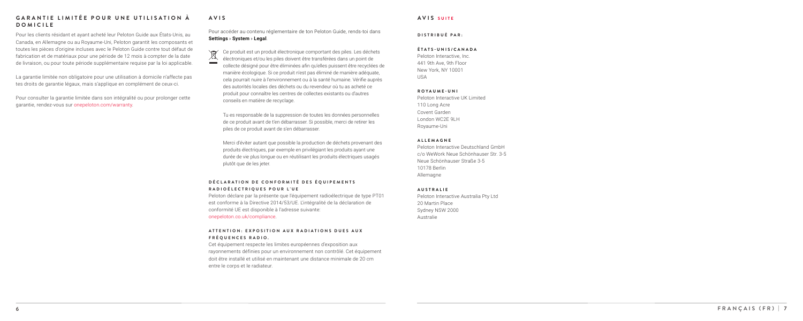Pour les clients résidant et ayant acheté leur Peloton Guide aux États-Unis, au Canada, en Allemagne ou au Royaume-Uni, Peloton garantit les composants et toutes les pièces d'origine incluses avec le Peloton Guide contre tout défaut de fabrication et de matériaux pour une période de 12 mois à compter de la date de livraison, ou pour toute période supplémentaire requise par la loi applicable.

## **GARANTIE LIMITÉE POUR UNE UTILISATION À DOMICILE**

 $\mathbb{Z}$ électroniques et/ou les piles doivent être transférées dans un point de

La garantie limitée non obligatoire pour une utilisation à domicile n'affecte pas tes droits de garantie légaux, mais s'applique en complément de ceux-ci.

Pour consulter la garantie limitée dans son intégralité ou pour prolonger cette garantie, rendez-vous sur onepeloton.com/warranty .

## **DÉCLARATION DE CONFORMITÉ DES ÉQUIPEMENTS RADIOÉLECTRIQUES POUR L'UE**

collecte désigné pour être éliminées afin qu'elles puissent être recyclées de manière écologique. Si ce produit n'est pas éliminé de manière adéquate, cela pourrait nuire à l'environnement ou à la santé humaine. Vérifie auprès des autorités locales des déchets ou du revendeur où tu as acheté ce produit pour connaître les centres de collectes existants ou d'autres conseils en matière de recyclage.

Tu es responsable de la suppression de toutes les données personnelles de ce produit avant de t'en débarrasser. Si possible, merci de retirer les piles de ce produit avant de s'en débarrasser.

Merci d'éviter autant que possible la production de déchets provenant des produits électriques, par exemple en privilégiant les produits ayant une durée de vie plus longue ou en réutilisant les produits électriques usagés plutôt que de les jeter.

# **AVIS**

Peloton déclare par la présente que l'équipement radioélectrique de type PT01 est conforme à la Directive 2014/53/UE. L'intégralité de la déclaration de conformité UE est disponible à l'adresse suivante: onepeloton.co.uk/compliance .

Peloton Interactive, Inc. 441 9th Ave, 9th Floor New York, NY 10001 USA

Peloton Interactive UK Limited 110 Long Acre Covent Garden London WC2E 9LH Royaume-Uni

Peloton Interactive Deutschland GmbH c/o WeWork Neue Schönhauser Str. 3-5 Neue Schönhauser Straße 3-5 10178 Berlin Allemagne

Peloton Interactive Australia Pty Ltd 20 Martin Place Sydney NSW 2000 Australie

**DISTRIBUÉ PAR:**

## **ÉTATS-UNIS/CANADA**

## **ROYAUME-UNI**

## **ALLEMAGNE**

## **AUSTRALIE**

## **AVIS SUITE**

## **A T T E N T I O N : E X P O S I T I O N A U X R A D I A T I O N S D U E S A U X FRÉQUENCES RADIO.**

Cet équipement respecte les limites européennes d'exposition aux rayonnements définies pour un environnement non contrôlé. Cet équipement doit être installé et utilisé en maintenant une distance minimale de 20 cm entre le corps et le radiateur.

Pour accéder au contenu réglementaire de ton Peloton Guide, rends-toi dans **Settings › System › Legal** .

Ce produit est un produit électronique comportant des piles. Les déchets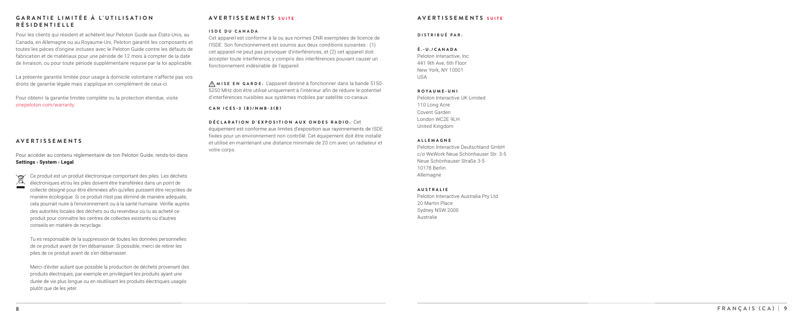Pour les clients qui résident et achètent leur Peloton Guide aux États-Unis, au Canada, en Allemagne ou au Royaume-Uni, Peloton garantit les composants et toutes les pièces d'origine incluses avec le Peloton Guide contre les défauts de fabrication et de matériaux pour une période de 12 mois à compter de la date de livraison, ou pour toute période supplémentaire requise par la loi applicable.

## **GARANTIE LIMITÉE À L'UTILISATION RÉSIDENTIELLE**

Peloton Interactive, Inc. 441 9th Ave, 6th Floor New York, NY 10001  $11S\Delta$ 

La présente garantie limitée pour usage à domicile volontaire n'affecte pas vos droits de garantie légale mais s'applique en complément de ceux-ci.

Pour obtenir la garantie limitée complète ou la protection étendue, visite onepeloton.com/warranty .

Peloton Interactive UK Limited 110 Long Acre Covent Garden London WC2E 9LH United Kingdom

 $\sqrt{2}$ Ce produit est un produit électronique comportant des piles. Les déchets  $\mathbb{X}$ électroniques et/ou les piles doivent être transférées dans un point de collecte désigné pour être éliminées afin qu'elles puissent être recyclées de manière écologique. Si ce produit n'est pas éliminé de manière adéquate, cela pourrait nuire à l'environnement ou à la santé humaine. Vérifie auprès des autorités locales des déchets ou du revendeur où tu as acheté ce produit pour connaître les centres de collectes existants ou d'autres conseils en matière de recyclage.

Peloton Interactive Deutschland GmbH c/o WeWork Neue Schönhauser Str. 3-5 Neue Schönhauser Straße 3-5 10178 Berlin Allemagne

Peloton Interactive Australia Pty Ltd 20 Martin Place Sydney NSW 2000 Australie

## **DISTRIBUÉ PAR:**

## **É.-U./CANADA**

#### **ROYAUME-UNI**

## **ALLEMAGNE**

## **AUSTRALIE**

## **AVERTISSEMENTS SUITE**

Tu es responsable de la suppression de toutes les données personnelles de ce produit avant de t'en débarrasser. Si possible, merci de retirer les piles de ce produit avant de s'en débarrasser.

Merci d'éviter autant que possible la production de déchets provenant des produits électriques, par exemple en privilégiant les produits ayant une durée de vie plus longue ou en réutilisant les produits électriques usagés plutôt que de les jeter.

Pour accéder au contenu réglementaire de ton Peloton Guide, rends-toi dans **Settings › System › Legal** .

## **AVERTISSEMENTS**

## **AVERTISSEMENTS SUITE**

Cet appareil est conforme à la ou aux normes CNR exemptées de licence de l'ISDE. Son fonctionnement est soumis aux deux conditions suivantes : (1) cet appareil ne peut pas provoquer d'interférences, et (2) cet appareil doit accepter toute interférence, y compris des interférences pouvant causer un fonctionnement indésirable de l'appareil.

#### **DÉCLARATION D'EXPOSITION AUX ONDES RADIO:** Cet

équipement est conforme aux limites d'exposition aux rayonnements de ISDE fixées pour un environnement non contrôlé. Cet équipement doit être installé et utilisé en maintenant une distance minimale de 20 cm avec un radiateur et votre corps.

## **ISDE DU CANADA**

#### **CAN ICES-3 (B)/NMB-3(B)**

 **MISE EN GARDE:** L'appareil destiné à fonctionner dans la bande 5150- 5250 MHz doit être utilisé uniquement à l'intérieur afin de réduire le potentiel d'interférences nuisibles aux systèmes mobiles par satellite co-canaux.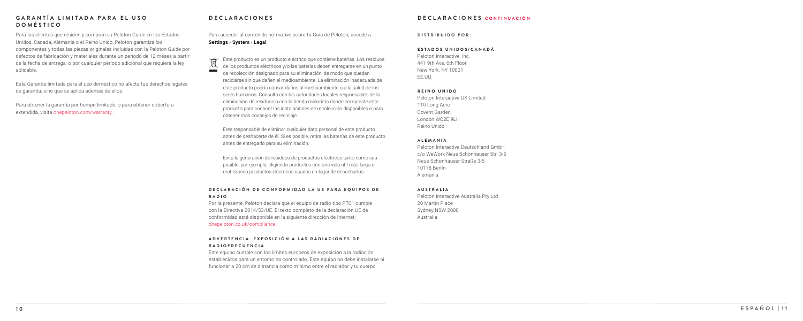## **1 0 E S P A Ñ O L | 1 1**

Para los clientes que residen y compran su Peloton Guide en los Estados Unidos, Canadá, Alemania o el Reino Unido, Peloton garantiza los componentes y todas las piezas originales incluidas con la Peloton Guide por defectos de fabricación y materiales durante un período de 12 meses a partir de la fecha de entrega, o por cualquier período adicional que requiera la ley aplicable.

Esta Garantía limitada para el uso doméstico no afecta tus derechos legales de garantía, sino que se aplica además de ellos.

Para obtener la garantía por tiempo limitado, o para obtener cobertura extendida, visita onepeloton.com/warranty .

## **G A R A N T Í A L I M I T A D A P A R A E L U S O DOMÉSTICO**

Este producto es un producto eléctrico que contiene baterías. Los residuos  $\boxtimes$ de los productos eléctricos y/o las baterías deben entregarse en un punto **College** de recolección designado para su eliminación, de modo que puedan reciclarse sin que dañen el medioambiente. La eliminación inadecuada de este producto podría causar daños al medioambiente o a la salud de los seres humanos. Consulta con las autoridades locales responsables de la eliminación de residuos o con la tienda minorista donde compraste este producto para conocer las instalaciones de recolección disponibles o para obtener más consejos de reciclaje.

## **DECLARACIÓN DE CONFORMIDAD LA UE PARA EQUIPOS DE RADIO**

## A D V E R T E N C I A : E X P O S I C I Ó N A L A S R A D I A C I O N E S D E **RADIOFRECUENCIA**

Eres responsable de eliminar cualquier dato personal de este producto antes de deshacerte de él. Si es posible, retira las baterías de este producto antes de entregarlo para su eliminación.

Evita la generación de residuos de productos eléctricos tanto como sea posible, por ejemplo, eligiendo productos con una vida útil más larga o reutilizando productos eléctricos usados en lugar de desecharlos.

## **DECLARACIONES**

Por la presente, Peloton declara que el equipo de radio tipo PT01 cumple con la Directiva 2014/53/UE. El texto completo de la declaración UE de conformidad está disponible en la siguiente dirección de Internet: onepeloton.co.uk/compliance .

Peloton Interactive, Inc. 441 9th Ave, 6th Floor New York, NY 10001 EE.UU.

Peloton Interactive UK Limited 110 Long Acre Covent Garden London WC2E 9LH Reino Unido

Peloton Interactive Deutschland GmbH c/o WeWork Neue Schönhauser Str. 3-5 Neue Schönhauser Straße 3-5 10178 Berlín Alemania

Peloton Interactive Australia Pty Ltd 20 Martin Place Sydney NSW 2000 Australia

**DISTRIBUIDO POR:**

## **ESTADOS UNIDOS/CANADÁ**

#### **REINO UNIDO**

## **ALEMANIA**

## **AUSTRALIA**

## **DECLARACIONES CONTINUACIÓN**

Este equipo cumple con los límites europeos de exposición a la radiación establecidos para un entorno no controlado. Este equipo no debe instalarse ni funcionar a 20 cm de distancia como mínimo entre el radiador y tu cuerpo.

Para acceder al contenido normativo sobre tu Guía de Peloton, accede a **Settings › System › Legal** .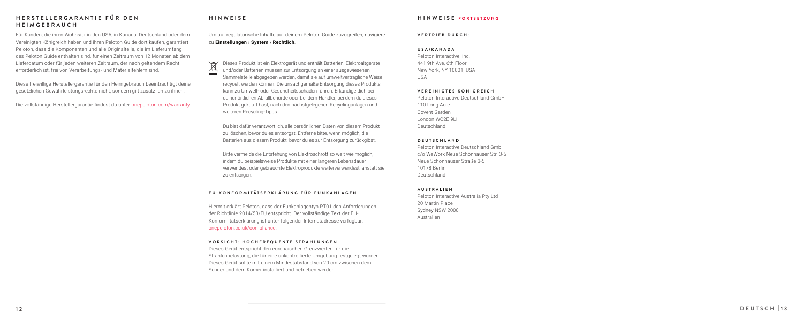Für Kunden, die ihren Wohnsitz in den USA, in Kanada, Deutschland oder dem Vereinigten Königreich haben und ihren Peloton Guide dort kaufen, garantiert Peloton, dass die Komponenten und alle Originalteile, die im Lieferumfang des Peloton Guide enthalten sind, für einen Zeitraum von 12 Monaten ab dem Lieferdatum oder für jeden weiteren Zeitraum, der nach geltendem Recht erforderlich ist, frei von Verarbeitungs- und Materialfehlern sind.

Diese freiwillige Herstellergarantie für den Heimgebrauch beeinträchtigt deine gesetzlichen Gewährleistungsrechte nicht, sondern gilt zusätzlich zu ihnen.

Die vollständige Herstellergarantie findest du unter onepeloton.com/warranty .

## **H E R S T E L L E R G A R A N T I E F Ü R D E N HEIMGEBRAUCH**

Dieses Produkt ist ein Elektrogerät und enthält Batterien. Elektroaltgeräte  $\setminus \square \qquad \qquad$  $\mathbb{X}$ und/oder Batterien müssen zur Entsorgung an einer ausgewiesenen Sammelstelle abgegeben werden, damit sie auf umweltverträgliche Weise recycelt werden können. Die unsachgemäße Entsorgung dieses Produkts kann zu Umwelt- oder Gesundheitsschäden führen. Erkundige dich bei deiner örtlichen Abfallbehörde oder bei dem Händler, bei dem du dieses Produkt gekauft hast, nach den nächstgelegenen Recyclinganlagen und weiteren Recycling-Tipps.

Du bist dafür verantwortlich, alle persönlichen Daten von diesem Produkt zu löschen, bevor du es entsorgst. Entferne bitte, wenn möglich, die Batterien aus diesem Produkt, bevor du es zur Entsorgung zurückgibst.

Bitte vermeide die Entstehung von Elektroschrott so weit wie möglich, indem du beispielsweise Produkte mit einer längeren Lebensdauer verwendest oder gebrauchte Elektroprodukte weiterverwendest, anstatt sie zu entsorgen.

## **HINWEISE**

Hiermit erklärt Peloton, dass der Funkanlagentyp PT01 den Anforderungen der Richtlinie 2014/53/EU entspricht. Der vollständige Text der EU-Konformitätserklärung ist unter folgender Internetadresse verfügbar: onepeloton.co.uk/compliance .

## **EU-KONFORMITÄTSERKLÄRUNG FÜR FUNKANLAGEN**

Peloton Interactive, Inc. 441 9th Ave, 6th Floor New York, NY 10001, USA USA

Peloton Interactive Deutschland GmbH 110 Long Acre Covent Garden London WC2E 9LH Deutschland

Peloton Interactive Deutschland GmbH c/o WeWork Neue Schönhauser Str. 3-5 Neue Schönhauser Straße 3-5 10178 Berlin Deutschland

Peloton Interactive Australia Pty Ltd 20 Martin Place Sydney NSW 2000 Australien

**VERTRIEB DURCH:**

#### **USA/KANADA**

#### **VEREINIGTES KÖNIGREICH**

## **DEUTSCHLAND**

## **AUSTRALIEN**

## **HINWEISE FORTSETZUNG**

#### **VORSICHT: HOCHFREQUENTE STRAHLUNGEN**

Dieses Gerät entspricht den europäischen Grenzwerten für die Strahlenbelastung, die für eine unkontrollierte Umgebung festgelegt wurden. Dieses Gerät sollte mit einem Mindestabstand von 20 cm zwischen dem Sender und dem Körper installiert und betrieben werden.

Um auf regulatorische Inhalte auf deinem Peloton Guide zuzugreifen, navigiere zu **Einstellungen › System › Rechtlich** .